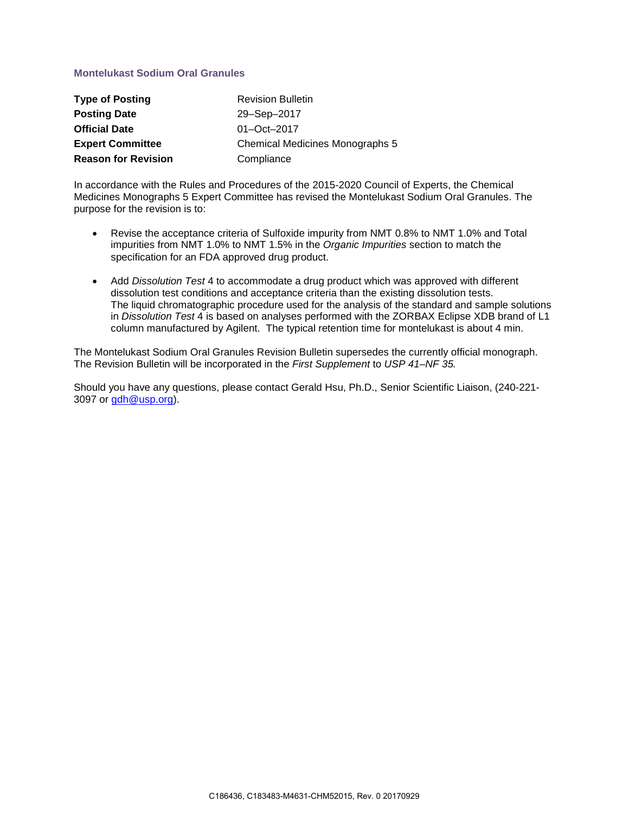## **Montelukast Sodium Oral Granules**

| <b>Type of Posting</b>     | <b>Revision Bulletin</b>        |
|----------------------------|---------------------------------|
| <b>Posting Date</b>        | 29-Sep-2017                     |
| <b>Official Date</b>       | $01 - Oct - 2017$               |
| <b>Expert Committee</b>    | Chemical Medicines Monographs 5 |
| <b>Reason for Revision</b> | Compliance                      |

In accordance with the Rules and Procedures of the 2015-2020 Council of Experts, the Chemical Medicines Monographs 5 Expert Committee has revised the Montelukast Sodium Oral Granules. The purpose for the revision is to:

- Revise the acceptance criteria of Sulfoxide impurity from NMT 0.8% to NMT 1.0% and Total impurities from NMT 1.0% to NMT 1.5% in the *Organic Impurities* section to match the specification for an FDA approved drug product.
- Add *Dissolution Test* 4 to accommodate a drug product which was approved with different dissolution test conditions and acceptance criteria than the existing dissolution tests. The liquid chromatographic procedure used for the analysis of the standard and sample solutions in *Dissolution Test* 4 is based on analyses performed with the ZORBAX Eclipse XDB brand of L1 column manufactured by Agilent. The typical retention time for montelukast is about 4 min.

The Montelukast Sodium Oral Granules Revision Bulletin supersedes the currently official monograph. The Revision Bulletin will be incorporated in the *First Supplement* to *USP 41–NF 35.*

Should you have any questions, please contact Gerald Hsu, Ph.D., Senior Scientific Liaison, (240-221- 3097 or [gdh@usp.org\)](mailto:gdh@usp.org).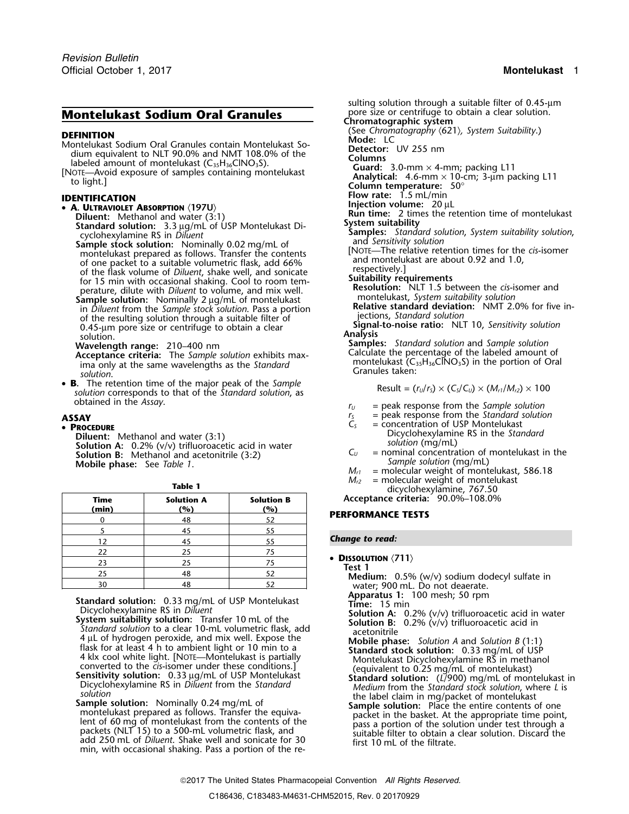# **Montelukast Sodium Oral Granules**

- 
- 

# **A. ULTRAVIOLET ABSORPTION** 〈**197U**〉

montelukast prepared as follows. Transfer the contents [NOTE—The relative retention times for the *cis*-isomer

- **Acceptance criteria:** The *Sample solution* exhibits max-<br>ima only at the same wavelengths as the *Standard* montelukast (C<sub>35</sub>H<sub>36</sub>ClNO<sub>3</sub>S) in the portion of Oral<br>solution. Cranules taken:
- **B.** The retention time of the major peak of the Sample<br>solution corresponds to that of the Standard solution, as  $\qquad \qquad$  Result =  $(r_U/r_S) \times (C_S/C_U) \times (M_{rI}/M_{rZ}) \times 100$ obtained in the *Assay*.

**PROCEDURE**

**Diluent:** Methanol and water (3:1)<br> **Solution A:** 0.2% (v/v) trifluoroacetic acid in water<br> **Solution B:** Methanol and acetonitrile (3:2)<br> **Solution B:** Methanol and acetonitrile (3:2)<br> **Sample solution (mg/mL)**<br> **Sample** 

| Acceptance crite                                                               | <b>Solution B</b><br>(%) | <b>Solution A</b><br>(%) | Time<br>(min) |
|--------------------------------------------------------------------------------|--------------------------|--------------------------|---------------|
| <b>PERFORMANCE TE</b>                                                          | 52                       | 48                       |               |
|                                                                                | 55                       | 45                       |               |
| <b>Change to read:</b>                                                         | 55                       | 45                       | 12            |
|                                                                                | 75                       | 25                       | 22            |
| • DISSOLUTION $\langle 711 \rangle$<br>Test 1<br>Medium: 0.5%<br>water: 900 ml | 75                       | 25                       | 23            |
|                                                                                | 52                       | 48                       | 25            |
|                                                                                |                          | 48                       | 30            |

**Standard solution:** 0.33 mg/mL of USP Montelukast<br>
Dicycloneylamine RS in *Diluent*<br>
Dicycloneylamine RS in *Dilucent*<br>
System suitability solution C. Transfer 10 mL of the<br>
System suitability solution is a clear 10-mL v

sulting solution through a suitable filter of 0.45-µm pore size or centrifuge to obtain a clear solution. **Chromatographic system DEFINITION**<br>
Montelukast Sodium Oral Granules contain Montelukast So-<br>
dium equivalent to NLT 90.0% and NMT 108.0% of the<br>
labeled amount of montelukast (C<sub>35</sub>H<sub>36</sub>ClNO<sub>3</sub>S).<br>
Nore Avoid exposure of samples containing mon **Figure 1.5 magnetic rate:** 1.5 mL/min<br> **Flow rate:** 1.5 mL/min<br> **Flow rate:** 1.5 mL/min<br> **PRINTIFICATION**<br> **PRINTIFICATION**<br> **PRINTIFICATION**<br> **INJURENT ASSORPTION** (197U)<br> **Run time:** 2 times the retention time of montel Diluent: Methanol and water (3:1)<br>
Standard solution: 3.3 µg/mL of USP Montelukast Di-<br>
cyclohexylamine RS in Diluent<br>
Samples: Standard solution, System suitability solution,<br>
Sample stock solution: Nominally 0.02 mg/mL o of one packet to a suitable volumetric flask, add 66%<br>
of the flask volume of *Diluent*, shake well, and sonicate<br>
for 15 min with occasional shaking. Cool to room tem-<br>
perature, dilute with *Diluent* to volume, and mix w **Wavelength range: Samples:** *Standard solution* and *Sample solution* 210–400 nm

- 
- 
- **ASSAY r**<sub>S</sub> = peak response from the *Standard solution*  $C_S$  = concentration of USP Montelukast
	- = concentration of USP Montelukast<br>Dicyclohexylamine RS in the Standard
	-
	- $M_{r1}$  = molecular weight of montelukast, 586.18 **Table 1 M**<sub>*r2*</sub> = molecular weight of montelukast dicyclohexylamine, 767.50

**Time Solution A Solution B Acceptance criteria:** 90.0%–108.0%

### **PERFORMANCE TESTS**

### **Change to read:**

Medium: 0.5% (w/v) sodium dodecyl sulfate in water; 900 mL. Do not deaerate.<br>**Apparatus 1:** 100 mesh; 50 rpm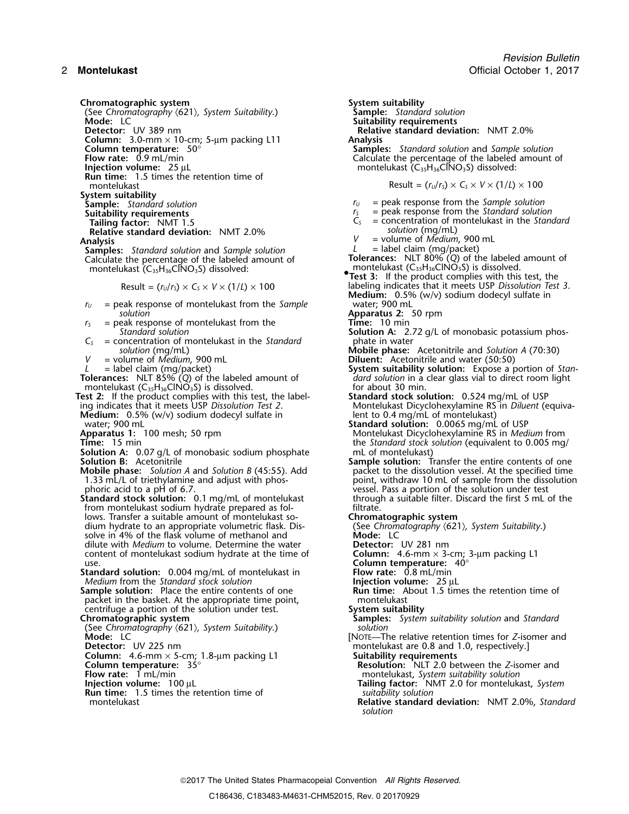(See Chromatography  $\langle 621 \rangle$ , System Suitability.) **Mode:** LC **Detector:** UV 389 nm **Relative standard deviation:** NMT 2.0% **Column:** 3.0-mm × 10-cm; 5-µm packing L11 **Analysis**

**Run time:** 1.5 times the retention time of

**System suitability**

- 
- 

**Relative standard deviation:**  $NMT 2.0\%$  V

**Samples:** *Standard solution* and *Sample solution* Calculate the percentage of the labeled amount of montelukast (C montelukast (C35H36ClNO3S) is dissolved. <sup>35</sup>H36ClNO3S) dissolved: **•**

Result = 
$$
(r_U/r_s) \times C_s \times V \times (1/L) \times 100
$$

- $r_U$  = peak response of montelukast from the *Sample solution* **Apparatus 2:** 50 rpm
- $r<sub>S</sub>$  = peak response of montelukast from the
- $C<sub>S</sub>$  = concentration of montelukast in the *Standard* solution (mg/mL)
- 

- **Test 2:** If the product complies with this test, the label- **Standard stock solution:** 0.524 mg/mL of USP ing indicates that it meets USP *Dissolution Test 2*. Montelukast Dicyclohexylamine RS in *Diluent* (equiva-
- **Medium:** 0.5% (w/v) sodium dodecyl sulfate in lent to 0.4 mg/mL of montelukast)<br>Standard solution: 0.0065 mg/mL
- 
- 

**Solution A:** 0.07 g/L of monobasic sodium phosphate **Solution B:** Acctonitrile

- **Mobile phase:** *Solution A* and *Solution B* (45:55). Add 1.33 mL/L of triethylamine and adjust with phos-
- **Standard stock solution:** 0.1 mg/mL of montelukast through a suitable filter. Discard the first 5 mL of the from montelukast sodium hydrate prepared as fol- filtrate. lows. Transfer a suitable amount of montelukast so-<br>dium hydrate to an appropriate volumetric flask. Dis-<br>(See *Chromatography (621), System Suitability*.) dium hydrate to an appropriate volumetric flask. Dis- (See *Chromatography* 〈621〉*, System Suitability*.) solve in 4% of the flask volume of methanol and **Mode:** LC dilute with *Medium* to volume. Determine the water **Detector:** UV 281 nm content of montelukast sodium hydrate at the time of
- **Standard solution:** 0.004 mg/mL of montelukast in **Flow rate:** 0.8 mL/min *Medium* from the *Standard stock solution* **Flow Flow rate:** 25 µL

**Sample solution:** Place the entire contents of one packet in the basket. At the appropriate time point, montelukast centrifuge a portion of the solution under test. System suitability centrifuge a portion of the solution under test.<br>**Chromatographic system** 

(See *Chromatography* 〈621〉*, System Suitability*.) *solution*

**Column:** 4.6-mm × 5-cm; 1.8-µm packing L1 **Column temperature:** 35°

- 
- 
- **Run time:** 1.5 times the retention time of montelukast

**Chromatographic system**<br>(See Chromatography (621), System Suitability.) **Sample:** Standard solution **Suitability requirements<br>Relative standard deviation:** NMT 2.0% **Column temperature:**  $50^{\circ}$  **Samples:** *Standard solution* and *Sample solution*<br>**Flow rate:** 0.9 mL/min **Sample Solution** Calculate the percentage of the labeled amount **Flow rate:**  $0.9 \text{ mL/min}$ <br> **Flow rate:**  $0.9 \text{ mL/min}$ <br> **Calculate the percentage of the labeled amount of montelukast (C<sub>33</sub>H<sub>36</sub>CINO<sub>3</sub>S) dissolved: Inference 25 International montelukast (C<sub>35</sub>H<sub>36</sub>ClNO<sub>3</sub>S) dissolved:**  $\text{Result} = (r_v/r_s) \times C_s \times V \times (1/L) \times 100$ **Sample:** *Standard solution*<br> **Sample:** *Standard solution*<br> **Suitability requirements**<br> **Suitability requirements**<br> **Suitability requirements Suitability requirements**<br> **Suitability requirements**<br> **S** = concentration of montelukast in the *Standard solution*<br>  $\frac{1}{2}$  = concentration of montelukast in the *Standard* = concentration of montelukast in the *Standard*<br>solution (mg/mL) **Analysis**<br> **Analysis** *V* = volume of *Medium*, 900 mL<br> **Samples:** Standard solution and Sample solution *L* = label claim (mg/packet) Calculate the percentage of the labeled amount of **Tolerances:** NLT 80% (*Q*) of the labeled amount of **.Test 3:** If the product complies with this test, the Resulting indicates that it meets USP Dissolution Test 3. **Medium:** 0.5% (w/v) sodium dodecyl sulfate in *Standard solution*<br> **Solution A:** 2.72 g/L of monobasic potassium phos-<br>
phate in water<br>
phate in water *solution* (mg/mL) **Mobile phase:** Acetonitrile and *Solution A* (70:30) *V* = volume of *Medium*, 900 mL **Diluent:** Acetonitrile and water (50:50) **System suitability solution:** Expose a portion of *Stan-L* = label claim (mg/packet)<br> **Tolerances:** NLT 85% (Q) of the labeled amount of *dard solution* in a clear glass vial to direct room light<br>
montelukast (C<sub>35</sub>H<sub>36</sub>CINO<sub>3</sub>S) is dissolved.<br>
for about 30 min. montelukast  $(C_{35}H_{36}CINO_3S)$  is dissolved.<br>
Standard stock solution: 0.524 mg/mL of USP est 2: If the product complies with this test, the label-<br>
Standard stock solution: 0.524 mg/mL of USP water; 900 mL **Standard solution:** 0.0065 mg/mL of USP **Apparatus 1:** 100 mesh; 50 rpm Montelukast Dicyclohexylamine RS in *Medium* from Time: 15 min<br>Time: 15 min the *Standard stock solution* (equivalent to 0.005 mg/ mL of montelukast) **Sample solution:** Transfer the entire contents of one packet to the dissolution vessel. At the specified time 1.33 mL/L of triethylamine and adjust with phos-<br>point, withdraw 10 mL of sample from the dissolution<br>phoric acid to a pH of 6.7.<br>point is point, withdraw 10 mL of sample from the dissolution vessel. Pass a portion of the solution under test<br>through a suitable filter. Discard the first 5 mL of the content of montelukast sodium hydrate at the time of<br>tandard solution: 0.004 mg/mL of montelukast in The Manusch Column temperature: 40°<br>**Column temperature:** 40°<br>Flow rate: 0.8 mL/min *Medium* from the *Standard stock solution*<br> **Injection volume:** 25 µL<br> **Injection volume:** 25 µL<br> **Run time:** About 1.5 times the retention time of **Chromatographic system Samples:** *System suitability solution* and *Standard* **Mode:** LC **C Mode:** LC **EXECUTE Mode:** LC **C EXECUTE EXECUTE EXECUTE EXECUTE EXECUTE EXECUTE EXECUTE EXECUTE EXECUTE EXECUTE EXECUTE EXECUTE EXECUTE EXECUTE EXECUTE EXECUTE EXECUTE** montelukast are 0.8 and 1.0, respectively.]<br>**Suitability requirements Resolution:** NLT 2.0 between the *Z*-isomer and **Flow rate:** 1 mL/min montelukast, *System suitability solution*<br>**Injection volume:** 100 µL **montelukalling factor:** NMT 2.0 for montelukalling factor: NMT 2.0 for montelukal **Tailing factor:** *NMT 2.0 for montelukast, System suitability solution* 

**Relative standard deviation: NMT 2.0%, Standard** *solution*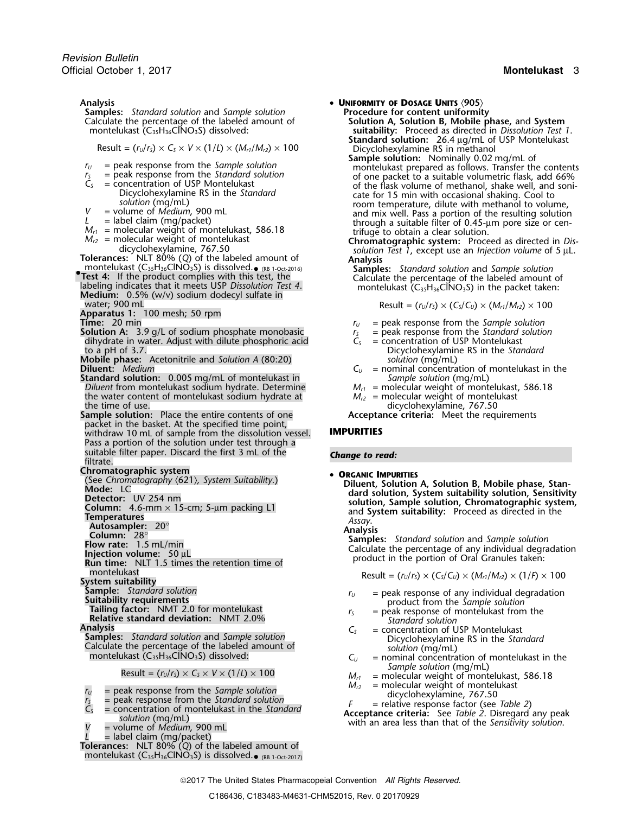**Analysis** • **UNIFORMITY OF DOSAGE UNITS** 〈**905**〉 **Samples:** *Standard solution* and *Sample solution* Calculate the percentage of the labeled amount of

- 
- 
- 
- 
- 
- 
- 

**Tolerances:** NLT 80% (*Q*) of the labeled amount of **Analysis**<br>
montelukast (C<sub>33</sub>H<sub>36</sub>ClNO<sub>3</sub>S) is dissolved.• (RB 1-Oct-2016) **Samples:** *Standard solution* and *Sample solution* 

- montelukast  $(C_{35}H_{36}CINO_3S)$  is dissolved.<br> **Samples:** Standard solution and Sample solution<br>
Test 4: If the product complies with this test, the<br>
labeling indicates that it meets USP Dissolution Test 4.<br>
Medium: 0.5% (
- **Apparatus 1:** 100 mesh; 50 rpm
- 
- **Solution A:** 3.9 g/L of sodium phosphate monobasic  $r_s$  = peak response from the *Standard* solity dihydrate in water. Adjust with dilute phosphoric acid  $r_s$  = concentration of USP Montelukast dihydrate in water. Adjust with dilute phosphoric acid *C<sub>S</sub>* to a pH of 3.7.
- **Mobile phase:** Acetonitrile and *Solution A* (80:20) **Diluent:** *Medium*
- **Standard solution:** 0.005 mg/mL of montelukast in *Sample solution* (mg/mL)<br>*Diluent* from montelukast sodium hydrate. Determine *M<sub>r1</sub>* = molecular weight of montelukast, 586.18 *Diluent* from montelukast sodium hydrate. Determine *M<sub>r1</sub>* = molecular weight of montelukast, the water content of montelukast sodium hydrate at *M<sub>r2</sub>* = molecular weight of montelukast the water content of montelukast sodium hydrate at *the time of use*.
- the time of use.<br>Sample solution: Place the entire contents of one and acceptance criteria: Meet the requirements of one packet in the basket. At the specified time point, withdraw 10 mL of sample from the dissolution vessel. **IMPURITIES** Pass a portion of the solution under test through a suitable filter paper. Discard the first 3 mL of the *Change to read:* filtrate.

**Chromatographic system**<br>(See Chromatography  $(621)$ , System Suitability.)

- 
- 
- 

**Injection volume:**  $50 \mu L$ <br> **Run time:** NLT 1.5 times the retention time of<br>
montelukast<br> **System suitability**<br> **System suitability**<br> **Result** =  $(r_U/r_S) \times (C_S/C_U) \times (M_{r1}/M_{r2}) \times (1/F) \times 100$ 

**Samples:** *Standard solution* and *Sample solution*<br>
Calculate the percentage of the labeled amount of *Solution* (mg/mL) *Solution* (mg/mL) Calculate the percentage of the labeled amount of *solution* (mg/mL)<br>montelukast (C<sub>35</sub>H<sub>36</sub>ClNO<sub>3</sub>S) dissolved: *C<sub>U</sub>* = nominal concentration of montelukast in the

- 
- 
- 
- - = volume of *Medium*, 900 mL<br>= label claim (mg/packet)

**Tolerances:** NLT 80% (*Q*) of the labeled amount of <code>montelukast</code> (C35H36ClNO3S) is dissolved. $_{\bullet}$   $_{\text{\tiny{ (RB 1-Oct-2017)}}}$ 

- 
- Calculate the percentage of the labeled amount of **Solution A, Solution B, Mobile phase,** and **System** montelukast (C35H36ClNO3S) dissolved: **suitability:** Proceed as directed in *Dissolution Test 1*. **Standard solution:** 26.4 <sup>µ</sup>g/mL of USP Montelukast Result = (*<sup>r</sup>U*/*<sup>r</sup>S*) <sup>×</sup> *<sup>C</sup><sup>S</sup>* <sup>×</sup> *<sup>V</sup>* <sup>×</sup> (1/*L*) × (*Mr1*/*Mr2*) ×<sup>100</sup> Dicyclohexylamine RS in methanol
- **Sample solution:** Nominally 0.02 mg/mL of  $r_U$  = peak response from the *Sample solution*<br> $r_S$  = peak response from the *Standard solution*<br> $r_S$  = peak response from the *Standard solution*<br>of one packet to a suitable volumetric flask, add 66%  $V = \text{volume of Medium}, 900 \text{ mL}$ <br>  $M_{r1} = \text{molecular weight of montelukast}$ <br>  $M_{r2} = \text{molecular weight of montelukast}$ <br>  $M_{r2} = \text{molecular weight of montelukast}$ <br>  $V = \text{volume of Medium}, 900 \text{ mL}$ <br>  $M_{r2} = \text{molecular weight of montelukast}$ <br>  $M_{r2} = \text{molecular weight of montelukast}$ <br>  $V = \text{molecular weight of montelukast}$ <br>  $V = \text{molecular weight of mottelukast}$ <br>  $V = \text{molecular weight of mottelukast}$ <br>  $V = \text$

solution Test 1, except use an *Injection volume* of 5 µL.<br>**Analysis** 

 $Result = (r<sub>U</sub>/r<sub>S</sub>) \times (C<sub>S</sub>/C<sub>U</sub>) \times (M<sub>r1</sub>/M<sub>r2</sub>) \times 100$ 

- 
- $r_U$  = peak response from the *Sample solution*<br> $r_S$  = peak response from the *Standard solution*
- 
- Dicyclohexylamine RS in the *Standard* solution (mg/mL)
- $C_U$  = nominal concentration of montelukast in the
- 
- 

**Acceptance criteria:** Meet the requirements

Contraction and Sample system Suitability.)<br>
Contraction and Suite of the Suite of the Suite of the Suite of the Suite of the Suite of the Suite of the Suite of the Suite of the Suite of the Suite of the Suite of the Suite

- **Sample:** Standard solution<br> **Suitability requirements**<br> **Suitability requirements**<br> **Suitability requirements**<br> **Suitability requirements**<br> **Suitability requirements**<br> **Suitability requirements**<br> **Suitability requirement** 
	-
- **Analysis** *<sup>C</sup><sup>S</sup>* = concentration of USP Montelukast
	-
	- *Sample solution* (mg/mL)<br> *Result* = (*r<sub>U</sub>*/*r<sub>S</sub>*) × *C<sub>S</sub>* × *V* × (1/*L*) × 100 *M*<sub>*r1*</sub> = molecular weight of montelukast, 586.18<br> *M*<sub>*c*2</sub> = molecular weight of montelukast
		- -

 $N_{12}$  = peak response from the *Sample solution*<br>  $N_{12}$  = molecular weight of montelukast<br>  $N_{12}$  = peak response from the *Standard solution*<br>  $N_{12}$  = molecular weight of montelukast<br>  $N_{12}$  = molecular weight of

2017 The United States Pharmacopeial Convention *All Rights Reserved.*